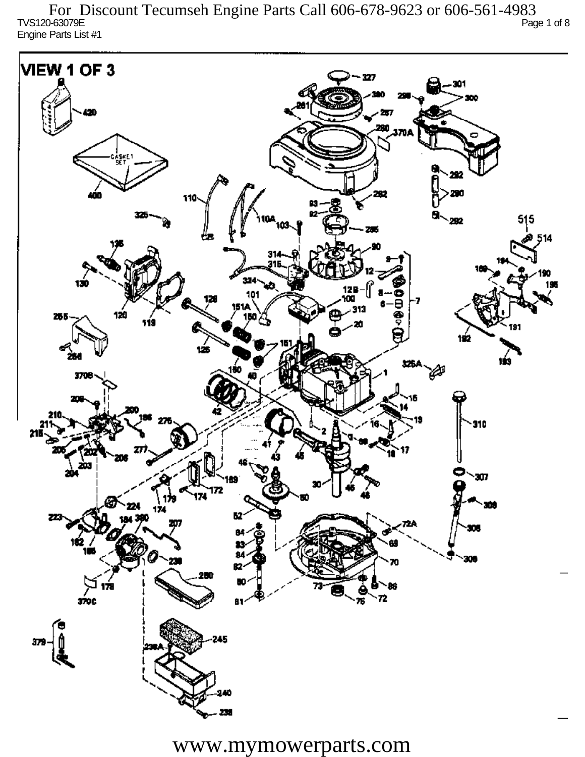TVS120-63079E Page 1 of 8 Engine Parts List #1 For Discount Tecumseh Engine Parts Call 606-678-9623 or 606-561-4983

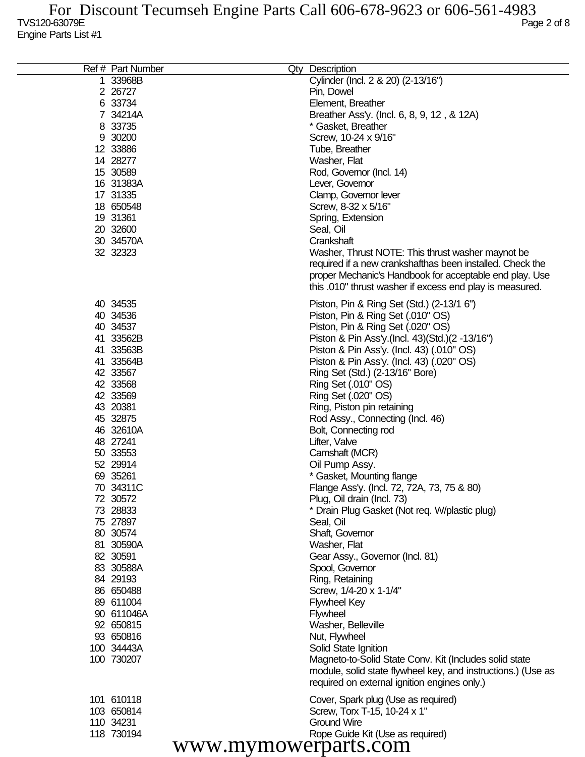| Cylinder (Incl. 2 & 20) (2-13/16")<br>1 33968B<br>2 26727<br>Pin, Dowel<br>6 33734<br>Element, Breather<br>7 34214A<br>Breather Ass'y. (Incl. 6, 8, 9, 12, & 12A)<br>8 33735<br>* Gasket, Breather<br>9 30200<br>Screw, 10-24 x 9/16"<br>12 33886<br>Tube, Breather<br>14 28277<br>Washer, Flat<br>15 30589<br>Rod, Governor (Incl. 14)<br>16 31383A<br>Lever, Governor<br>17 31335<br>Clamp, Governor lever<br>18 650548<br>Screw, 8-32 x 5/16"<br>19 31361<br>Spring, Extension<br>20 32600<br>Seal, Oil<br>30 34570A<br>Crankshaft<br>32 32323<br>Washer, Thrust NOTE: This thrust washer maynot be<br>required if a new crankshafthas been installed. Check the<br>proper Mechanic's Handbook for acceptable end play. Use<br>this .010" thrust washer if excess end play is measured.<br>40 34535<br>Piston, Pin & Ring Set (Std.) (2-13/1 6")<br>40 34536<br>Piston, Pin & Ring Set (.010" OS)<br>40 34537<br>Piston, Pin & Ring Set (.020" OS)<br>41 33562B<br>Piston & Pin Ass'y (Incl. 43) (Std.) (2 -13/16")<br>41 33563B<br>Piston & Pin Ass'y. (Incl. 43) (.010" OS)<br>Piston & Pin Ass'y. (Incl. 43) (.020" OS)<br>41 33564B<br>42 33567<br>Ring Set (Std.) (2-13/16" Bore)<br>42 33568<br>Ring Set (.010" OS)<br>Ring Set (.020" OS)<br>42 33569<br>43 20381<br>Ring, Piston pin retaining<br>45 32875<br>Rod Assy., Connecting (Incl. 46)<br>46 32610A<br>Bolt, Connecting rod<br>48 27241<br>Lifter, Valve<br>Camshaft (MCR)<br>50 33553<br>52 29914<br>Oil Pump Assy.<br>69 35261<br>* Gasket, Mounting flange<br>70 34311C<br>Flange Ass'y. (Incl. 72, 72A, 73, 75 & 80)<br>Plug, Oil drain (Incl. 73)<br>72 30572<br>73 28833<br>* Drain Plug Gasket (Not req. W/plastic plug)<br>75 27897<br>Seal, Oil<br>80 30574<br>Shaft, Governor<br>81 30590A<br>Washer, Flat<br>82 30591<br>Gear Assy., Governor (Incl. 81)<br>83 30588A<br>Spool, Governor<br>Ring, Retaining<br>84 29193<br>86 650488<br>Screw, 1/4-20 x 1-1/4"<br>89 611004<br><b>Flywheel Key</b><br>90 611046A<br><b>Flywheel</b><br>92 650815<br>Washer, Belleville<br>93 650816<br>Nut, Flywheel<br>100 34443A<br>Solid State Ignition<br>100 730207<br>Magneto-to-Solid State Conv. Kit (Includes solid state<br>module, solid state flywheel key, and instructions.) (Use as<br>required on external ignition engines only.)<br>101 610118<br>Cover, Spark plug (Use as required)<br>103 650814<br>Screw, Torx T-15, 10-24 x 1"<br><b>Ground Wire</b><br>110 34231<br>118 730194<br>Rope Guide Kit (Use as required)<br>www.mymowerparts.com | Ref # Part Number | Qty Description |
|----------------------------------------------------------------------------------------------------------------------------------------------------------------------------------------------------------------------------------------------------------------------------------------------------------------------------------------------------------------------------------------------------------------------------------------------------------------------------------------------------------------------------------------------------------------------------------------------------------------------------------------------------------------------------------------------------------------------------------------------------------------------------------------------------------------------------------------------------------------------------------------------------------------------------------------------------------------------------------------------------------------------------------------------------------------------------------------------------------------------------------------------------------------------------------------------------------------------------------------------------------------------------------------------------------------------------------------------------------------------------------------------------------------------------------------------------------------------------------------------------------------------------------------------------------------------------------------------------------------------------------------------------------------------------------------------------------------------------------------------------------------------------------------------------------------------------------------------------------------------------------------------------------------------------------------------------------------------------------------------------------------------------------------------------------------------------------------------------------------------------------------------------------------------------------------------------------------------------------------------------------------------------------------------------------------------------------------------------------------------------------------------------------------------------------------------------------------------------------------------------------------------------------|-------------------|-----------------|
|                                                                                                                                                                                                                                                                                                                                                                                                                                                                                                                                                                                                                                                                                                                                                                                                                                                                                                                                                                                                                                                                                                                                                                                                                                                                                                                                                                                                                                                                                                                                                                                                                                                                                                                                                                                                                                                                                                                                                                                                                                                                                                                                                                                                                                                                                                                                                                                                                                                                                                                                  |                   |                 |
|                                                                                                                                                                                                                                                                                                                                                                                                                                                                                                                                                                                                                                                                                                                                                                                                                                                                                                                                                                                                                                                                                                                                                                                                                                                                                                                                                                                                                                                                                                                                                                                                                                                                                                                                                                                                                                                                                                                                                                                                                                                                                                                                                                                                                                                                                                                                                                                                                                                                                                                                  |                   |                 |
|                                                                                                                                                                                                                                                                                                                                                                                                                                                                                                                                                                                                                                                                                                                                                                                                                                                                                                                                                                                                                                                                                                                                                                                                                                                                                                                                                                                                                                                                                                                                                                                                                                                                                                                                                                                                                                                                                                                                                                                                                                                                                                                                                                                                                                                                                                                                                                                                                                                                                                                                  |                   |                 |
|                                                                                                                                                                                                                                                                                                                                                                                                                                                                                                                                                                                                                                                                                                                                                                                                                                                                                                                                                                                                                                                                                                                                                                                                                                                                                                                                                                                                                                                                                                                                                                                                                                                                                                                                                                                                                                                                                                                                                                                                                                                                                                                                                                                                                                                                                                                                                                                                                                                                                                                                  |                   |                 |
|                                                                                                                                                                                                                                                                                                                                                                                                                                                                                                                                                                                                                                                                                                                                                                                                                                                                                                                                                                                                                                                                                                                                                                                                                                                                                                                                                                                                                                                                                                                                                                                                                                                                                                                                                                                                                                                                                                                                                                                                                                                                                                                                                                                                                                                                                                                                                                                                                                                                                                                                  |                   |                 |
|                                                                                                                                                                                                                                                                                                                                                                                                                                                                                                                                                                                                                                                                                                                                                                                                                                                                                                                                                                                                                                                                                                                                                                                                                                                                                                                                                                                                                                                                                                                                                                                                                                                                                                                                                                                                                                                                                                                                                                                                                                                                                                                                                                                                                                                                                                                                                                                                                                                                                                                                  |                   |                 |
|                                                                                                                                                                                                                                                                                                                                                                                                                                                                                                                                                                                                                                                                                                                                                                                                                                                                                                                                                                                                                                                                                                                                                                                                                                                                                                                                                                                                                                                                                                                                                                                                                                                                                                                                                                                                                                                                                                                                                                                                                                                                                                                                                                                                                                                                                                                                                                                                                                                                                                                                  |                   |                 |
|                                                                                                                                                                                                                                                                                                                                                                                                                                                                                                                                                                                                                                                                                                                                                                                                                                                                                                                                                                                                                                                                                                                                                                                                                                                                                                                                                                                                                                                                                                                                                                                                                                                                                                                                                                                                                                                                                                                                                                                                                                                                                                                                                                                                                                                                                                                                                                                                                                                                                                                                  |                   |                 |
|                                                                                                                                                                                                                                                                                                                                                                                                                                                                                                                                                                                                                                                                                                                                                                                                                                                                                                                                                                                                                                                                                                                                                                                                                                                                                                                                                                                                                                                                                                                                                                                                                                                                                                                                                                                                                                                                                                                                                                                                                                                                                                                                                                                                                                                                                                                                                                                                                                                                                                                                  |                   |                 |
|                                                                                                                                                                                                                                                                                                                                                                                                                                                                                                                                                                                                                                                                                                                                                                                                                                                                                                                                                                                                                                                                                                                                                                                                                                                                                                                                                                                                                                                                                                                                                                                                                                                                                                                                                                                                                                                                                                                                                                                                                                                                                                                                                                                                                                                                                                                                                                                                                                                                                                                                  |                   |                 |
|                                                                                                                                                                                                                                                                                                                                                                                                                                                                                                                                                                                                                                                                                                                                                                                                                                                                                                                                                                                                                                                                                                                                                                                                                                                                                                                                                                                                                                                                                                                                                                                                                                                                                                                                                                                                                                                                                                                                                                                                                                                                                                                                                                                                                                                                                                                                                                                                                                                                                                                                  |                   |                 |
|                                                                                                                                                                                                                                                                                                                                                                                                                                                                                                                                                                                                                                                                                                                                                                                                                                                                                                                                                                                                                                                                                                                                                                                                                                                                                                                                                                                                                                                                                                                                                                                                                                                                                                                                                                                                                                                                                                                                                                                                                                                                                                                                                                                                                                                                                                                                                                                                                                                                                                                                  |                   |                 |
|                                                                                                                                                                                                                                                                                                                                                                                                                                                                                                                                                                                                                                                                                                                                                                                                                                                                                                                                                                                                                                                                                                                                                                                                                                                                                                                                                                                                                                                                                                                                                                                                                                                                                                                                                                                                                                                                                                                                                                                                                                                                                                                                                                                                                                                                                                                                                                                                                                                                                                                                  |                   |                 |
|                                                                                                                                                                                                                                                                                                                                                                                                                                                                                                                                                                                                                                                                                                                                                                                                                                                                                                                                                                                                                                                                                                                                                                                                                                                                                                                                                                                                                                                                                                                                                                                                                                                                                                                                                                                                                                                                                                                                                                                                                                                                                                                                                                                                                                                                                                                                                                                                                                                                                                                                  |                   |                 |
|                                                                                                                                                                                                                                                                                                                                                                                                                                                                                                                                                                                                                                                                                                                                                                                                                                                                                                                                                                                                                                                                                                                                                                                                                                                                                                                                                                                                                                                                                                                                                                                                                                                                                                                                                                                                                                                                                                                                                                                                                                                                                                                                                                                                                                                                                                                                                                                                                                                                                                                                  |                   |                 |
|                                                                                                                                                                                                                                                                                                                                                                                                                                                                                                                                                                                                                                                                                                                                                                                                                                                                                                                                                                                                                                                                                                                                                                                                                                                                                                                                                                                                                                                                                                                                                                                                                                                                                                                                                                                                                                                                                                                                                                                                                                                                                                                                                                                                                                                                                                                                                                                                                                                                                                                                  |                   |                 |
|                                                                                                                                                                                                                                                                                                                                                                                                                                                                                                                                                                                                                                                                                                                                                                                                                                                                                                                                                                                                                                                                                                                                                                                                                                                                                                                                                                                                                                                                                                                                                                                                                                                                                                                                                                                                                                                                                                                                                                                                                                                                                                                                                                                                                                                                                                                                                                                                                                                                                                                                  |                   |                 |
|                                                                                                                                                                                                                                                                                                                                                                                                                                                                                                                                                                                                                                                                                                                                                                                                                                                                                                                                                                                                                                                                                                                                                                                                                                                                                                                                                                                                                                                                                                                                                                                                                                                                                                                                                                                                                                                                                                                                                                                                                                                                                                                                                                                                                                                                                                                                                                                                                                                                                                                                  |                   |                 |
|                                                                                                                                                                                                                                                                                                                                                                                                                                                                                                                                                                                                                                                                                                                                                                                                                                                                                                                                                                                                                                                                                                                                                                                                                                                                                                                                                                                                                                                                                                                                                                                                                                                                                                                                                                                                                                                                                                                                                                                                                                                                                                                                                                                                                                                                                                                                                                                                                                                                                                                                  |                   |                 |
|                                                                                                                                                                                                                                                                                                                                                                                                                                                                                                                                                                                                                                                                                                                                                                                                                                                                                                                                                                                                                                                                                                                                                                                                                                                                                                                                                                                                                                                                                                                                                                                                                                                                                                                                                                                                                                                                                                                                                                                                                                                                                                                                                                                                                                                                                                                                                                                                                                                                                                                                  |                   |                 |
|                                                                                                                                                                                                                                                                                                                                                                                                                                                                                                                                                                                                                                                                                                                                                                                                                                                                                                                                                                                                                                                                                                                                                                                                                                                                                                                                                                                                                                                                                                                                                                                                                                                                                                                                                                                                                                                                                                                                                                                                                                                                                                                                                                                                                                                                                                                                                                                                                                                                                                                                  |                   |                 |
|                                                                                                                                                                                                                                                                                                                                                                                                                                                                                                                                                                                                                                                                                                                                                                                                                                                                                                                                                                                                                                                                                                                                                                                                                                                                                                                                                                                                                                                                                                                                                                                                                                                                                                                                                                                                                                                                                                                                                                                                                                                                                                                                                                                                                                                                                                                                                                                                                                                                                                                                  |                   |                 |
|                                                                                                                                                                                                                                                                                                                                                                                                                                                                                                                                                                                                                                                                                                                                                                                                                                                                                                                                                                                                                                                                                                                                                                                                                                                                                                                                                                                                                                                                                                                                                                                                                                                                                                                                                                                                                                                                                                                                                                                                                                                                                                                                                                                                                                                                                                                                                                                                                                                                                                                                  |                   |                 |
|                                                                                                                                                                                                                                                                                                                                                                                                                                                                                                                                                                                                                                                                                                                                                                                                                                                                                                                                                                                                                                                                                                                                                                                                                                                                                                                                                                                                                                                                                                                                                                                                                                                                                                                                                                                                                                                                                                                                                                                                                                                                                                                                                                                                                                                                                                                                                                                                                                                                                                                                  |                   |                 |
|                                                                                                                                                                                                                                                                                                                                                                                                                                                                                                                                                                                                                                                                                                                                                                                                                                                                                                                                                                                                                                                                                                                                                                                                                                                                                                                                                                                                                                                                                                                                                                                                                                                                                                                                                                                                                                                                                                                                                                                                                                                                                                                                                                                                                                                                                                                                                                                                                                                                                                                                  |                   |                 |
|                                                                                                                                                                                                                                                                                                                                                                                                                                                                                                                                                                                                                                                                                                                                                                                                                                                                                                                                                                                                                                                                                                                                                                                                                                                                                                                                                                                                                                                                                                                                                                                                                                                                                                                                                                                                                                                                                                                                                                                                                                                                                                                                                                                                                                                                                                                                                                                                                                                                                                                                  |                   |                 |
|                                                                                                                                                                                                                                                                                                                                                                                                                                                                                                                                                                                                                                                                                                                                                                                                                                                                                                                                                                                                                                                                                                                                                                                                                                                                                                                                                                                                                                                                                                                                                                                                                                                                                                                                                                                                                                                                                                                                                                                                                                                                                                                                                                                                                                                                                                                                                                                                                                                                                                                                  |                   |                 |
|                                                                                                                                                                                                                                                                                                                                                                                                                                                                                                                                                                                                                                                                                                                                                                                                                                                                                                                                                                                                                                                                                                                                                                                                                                                                                                                                                                                                                                                                                                                                                                                                                                                                                                                                                                                                                                                                                                                                                                                                                                                                                                                                                                                                                                                                                                                                                                                                                                                                                                                                  |                   |                 |
|                                                                                                                                                                                                                                                                                                                                                                                                                                                                                                                                                                                                                                                                                                                                                                                                                                                                                                                                                                                                                                                                                                                                                                                                                                                                                                                                                                                                                                                                                                                                                                                                                                                                                                                                                                                                                                                                                                                                                                                                                                                                                                                                                                                                                                                                                                                                                                                                                                                                                                                                  |                   |                 |
|                                                                                                                                                                                                                                                                                                                                                                                                                                                                                                                                                                                                                                                                                                                                                                                                                                                                                                                                                                                                                                                                                                                                                                                                                                                                                                                                                                                                                                                                                                                                                                                                                                                                                                                                                                                                                                                                                                                                                                                                                                                                                                                                                                                                                                                                                                                                                                                                                                                                                                                                  |                   |                 |
|                                                                                                                                                                                                                                                                                                                                                                                                                                                                                                                                                                                                                                                                                                                                                                                                                                                                                                                                                                                                                                                                                                                                                                                                                                                                                                                                                                                                                                                                                                                                                                                                                                                                                                                                                                                                                                                                                                                                                                                                                                                                                                                                                                                                                                                                                                                                                                                                                                                                                                                                  |                   |                 |
|                                                                                                                                                                                                                                                                                                                                                                                                                                                                                                                                                                                                                                                                                                                                                                                                                                                                                                                                                                                                                                                                                                                                                                                                                                                                                                                                                                                                                                                                                                                                                                                                                                                                                                                                                                                                                                                                                                                                                                                                                                                                                                                                                                                                                                                                                                                                                                                                                                                                                                                                  |                   |                 |
|                                                                                                                                                                                                                                                                                                                                                                                                                                                                                                                                                                                                                                                                                                                                                                                                                                                                                                                                                                                                                                                                                                                                                                                                                                                                                                                                                                                                                                                                                                                                                                                                                                                                                                                                                                                                                                                                                                                                                                                                                                                                                                                                                                                                                                                                                                                                                                                                                                                                                                                                  |                   |                 |
|                                                                                                                                                                                                                                                                                                                                                                                                                                                                                                                                                                                                                                                                                                                                                                                                                                                                                                                                                                                                                                                                                                                                                                                                                                                                                                                                                                                                                                                                                                                                                                                                                                                                                                                                                                                                                                                                                                                                                                                                                                                                                                                                                                                                                                                                                                                                                                                                                                                                                                                                  |                   |                 |
|                                                                                                                                                                                                                                                                                                                                                                                                                                                                                                                                                                                                                                                                                                                                                                                                                                                                                                                                                                                                                                                                                                                                                                                                                                                                                                                                                                                                                                                                                                                                                                                                                                                                                                                                                                                                                                                                                                                                                                                                                                                                                                                                                                                                                                                                                                                                                                                                                                                                                                                                  |                   |                 |
|                                                                                                                                                                                                                                                                                                                                                                                                                                                                                                                                                                                                                                                                                                                                                                                                                                                                                                                                                                                                                                                                                                                                                                                                                                                                                                                                                                                                                                                                                                                                                                                                                                                                                                                                                                                                                                                                                                                                                                                                                                                                                                                                                                                                                                                                                                                                                                                                                                                                                                                                  |                   |                 |
|                                                                                                                                                                                                                                                                                                                                                                                                                                                                                                                                                                                                                                                                                                                                                                                                                                                                                                                                                                                                                                                                                                                                                                                                                                                                                                                                                                                                                                                                                                                                                                                                                                                                                                                                                                                                                                                                                                                                                                                                                                                                                                                                                                                                                                                                                                                                                                                                                                                                                                                                  |                   |                 |
|                                                                                                                                                                                                                                                                                                                                                                                                                                                                                                                                                                                                                                                                                                                                                                                                                                                                                                                                                                                                                                                                                                                                                                                                                                                                                                                                                                                                                                                                                                                                                                                                                                                                                                                                                                                                                                                                                                                                                                                                                                                                                                                                                                                                                                                                                                                                                                                                                                                                                                                                  |                   |                 |
|                                                                                                                                                                                                                                                                                                                                                                                                                                                                                                                                                                                                                                                                                                                                                                                                                                                                                                                                                                                                                                                                                                                                                                                                                                                                                                                                                                                                                                                                                                                                                                                                                                                                                                                                                                                                                                                                                                                                                                                                                                                                                                                                                                                                                                                                                                                                                                                                                                                                                                                                  |                   |                 |
|                                                                                                                                                                                                                                                                                                                                                                                                                                                                                                                                                                                                                                                                                                                                                                                                                                                                                                                                                                                                                                                                                                                                                                                                                                                                                                                                                                                                                                                                                                                                                                                                                                                                                                                                                                                                                                                                                                                                                                                                                                                                                                                                                                                                                                                                                                                                                                                                                                                                                                                                  |                   |                 |
|                                                                                                                                                                                                                                                                                                                                                                                                                                                                                                                                                                                                                                                                                                                                                                                                                                                                                                                                                                                                                                                                                                                                                                                                                                                                                                                                                                                                                                                                                                                                                                                                                                                                                                                                                                                                                                                                                                                                                                                                                                                                                                                                                                                                                                                                                                                                                                                                                                                                                                                                  |                   |                 |
|                                                                                                                                                                                                                                                                                                                                                                                                                                                                                                                                                                                                                                                                                                                                                                                                                                                                                                                                                                                                                                                                                                                                                                                                                                                                                                                                                                                                                                                                                                                                                                                                                                                                                                                                                                                                                                                                                                                                                                                                                                                                                                                                                                                                                                                                                                                                                                                                                                                                                                                                  |                   |                 |
|                                                                                                                                                                                                                                                                                                                                                                                                                                                                                                                                                                                                                                                                                                                                                                                                                                                                                                                                                                                                                                                                                                                                                                                                                                                                                                                                                                                                                                                                                                                                                                                                                                                                                                                                                                                                                                                                                                                                                                                                                                                                                                                                                                                                                                                                                                                                                                                                                                                                                                                                  |                   |                 |
|                                                                                                                                                                                                                                                                                                                                                                                                                                                                                                                                                                                                                                                                                                                                                                                                                                                                                                                                                                                                                                                                                                                                                                                                                                                                                                                                                                                                                                                                                                                                                                                                                                                                                                                                                                                                                                                                                                                                                                                                                                                                                                                                                                                                                                                                                                                                                                                                                                                                                                                                  |                   |                 |
|                                                                                                                                                                                                                                                                                                                                                                                                                                                                                                                                                                                                                                                                                                                                                                                                                                                                                                                                                                                                                                                                                                                                                                                                                                                                                                                                                                                                                                                                                                                                                                                                                                                                                                                                                                                                                                                                                                                                                                                                                                                                                                                                                                                                                                                                                                                                                                                                                                                                                                                                  |                   |                 |
|                                                                                                                                                                                                                                                                                                                                                                                                                                                                                                                                                                                                                                                                                                                                                                                                                                                                                                                                                                                                                                                                                                                                                                                                                                                                                                                                                                                                                                                                                                                                                                                                                                                                                                                                                                                                                                                                                                                                                                                                                                                                                                                                                                                                                                                                                                                                                                                                                                                                                                                                  |                   |                 |
|                                                                                                                                                                                                                                                                                                                                                                                                                                                                                                                                                                                                                                                                                                                                                                                                                                                                                                                                                                                                                                                                                                                                                                                                                                                                                                                                                                                                                                                                                                                                                                                                                                                                                                                                                                                                                                                                                                                                                                                                                                                                                                                                                                                                                                                                                                                                                                                                                                                                                                                                  |                   |                 |
|                                                                                                                                                                                                                                                                                                                                                                                                                                                                                                                                                                                                                                                                                                                                                                                                                                                                                                                                                                                                                                                                                                                                                                                                                                                                                                                                                                                                                                                                                                                                                                                                                                                                                                                                                                                                                                                                                                                                                                                                                                                                                                                                                                                                                                                                                                                                                                                                                                                                                                                                  |                   |                 |
|                                                                                                                                                                                                                                                                                                                                                                                                                                                                                                                                                                                                                                                                                                                                                                                                                                                                                                                                                                                                                                                                                                                                                                                                                                                                                                                                                                                                                                                                                                                                                                                                                                                                                                                                                                                                                                                                                                                                                                                                                                                                                                                                                                                                                                                                                                                                                                                                                                                                                                                                  |                   |                 |
|                                                                                                                                                                                                                                                                                                                                                                                                                                                                                                                                                                                                                                                                                                                                                                                                                                                                                                                                                                                                                                                                                                                                                                                                                                                                                                                                                                                                                                                                                                                                                                                                                                                                                                                                                                                                                                                                                                                                                                                                                                                                                                                                                                                                                                                                                                                                                                                                                                                                                                                                  |                   |                 |
|                                                                                                                                                                                                                                                                                                                                                                                                                                                                                                                                                                                                                                                                                                                                                                                                                                                                                                                                                                                                                                                                                                                                                                                                                                                                                                                                                                                                                                                                                                                                                                                                                                                                                                                                                                                                                                                                                                                                                                                                                                                                                                                                                                                                                                                                                                                                                                                                                                                                                                                                  |                   |                 |
|                                                                                                                                                                                                                                                                                                                                                                                                                                                                                                                                                                                                                                                                                                                                                                                                                                                                                                                                                                                                                                                                                                                                                                                                                                                                                                                                                                                                                                                                                                                                                                                                                                                                                                                                                                                                                                                                                                                                                                                                                                                                                                                                                                                                                                                                                                                                                                                                                                                                                                                                  |                   |                 |
|                                                                                                                                                                                                                                                                                                                                                                                                                                                                                                                                                                                                                                                                                                                                                                                                                                                                                                                                                                                                                                                                                                                                                                                                                                                                                                                                                                                                                                                                                                                                                                                                                                                                                                                                                                                                                                                                                                                                                                                                                                                                                                                                                                                                                                                                                                                                                                                                                                                                                                                                  |                   |                 |
|                                                                                                                                                                                                                                                                                                                                                                                                                                                                                                                                                                                                                                                                                                                                                                                                                                                                                                                                                                                                                                                                                                                                                                                                                                                                                                                                                                                                                                                                                                                                                                                                                                                                                                                                                                                                                                                                                                                                                                                                                                                                                                                                                                                                                                                                                                                                                                                                                                                                                                                                  |                   |                 |
|                                                                                                                                                                                                                                                                                                                                                                                                                                                                                                                                                                                                                                                                                                                                                                                                                                                                                                                                                                                                                                                                                                                                                                                                                                                                                                                                                                                                                                                                                                                                                                                                                                                                                                                                                                                                                                                                                                                                                                                                                                                                                                                                                                                                                                                                                                                                                                                                                                                                                                                                  |                   |                 |
|                                                                                                                                                                                                                                                                                                                                                                                                                                                                                                                                                                                                                                                                                                                                                                                                                                                                                                                                                                                                                                                                                                                                                                                                                                                                                                                                                                                                                                                                                                                                                                                                                                                                                                                                                                                                                                                                                                                                                                                                                                                                                                                                                                                                                                                                                                                                                                                                                                                                                                                                  |                   |                 |
|                                                                                                                                                                                                                                                                                                                                                                                                                                                                                                                                                                                                                                                                                                                                                                                                                                                                                                                                                                                                                                                                                                                                                                                                                                                                                                                                                                                                                                                                                                                                                                                                                                                                                                                                                                                                                                                                                                                                                                                                                                                                                                                                                                                                                                                                                                                                                                                                                                                                                                                                  |                   |                 |
|                                                                                                                                                                                                                                                                                                                                                                                                                                                                                                                                                                                                                                                                                                                                                                                                                                                                                                                                                                                                                                                                                                                                                                                                                                                                                                                                                                                                                                                                                                                                                                                                                                                                                                                                                                                                                                                                                                                                                                                                                                                                                                                                                                                                                                                                                                                                                                                                                                                                                                                                  |                   |                 |
|                                                                                                                                                                                                                                                                                                                                                                                                                                                                                                                                                                                                                                                                                                                                                                                                                                                                                                                                                                                                                                                                                                                                                                                                                                                                                                                                                                                                                                                                                                                                                                                                                                                                                                                                                                                                                                                                                                                                                                                                                                                                                                                                                                                                                                                                                                                                                                                                                                                                                                                                  |                   |                 |
|                                                                                                                                                                                                                                                                                                                                                                                                                                                                                                                                                                                                                                                                                                                                                                                                                                                                                                                                                                                                                                                                                                                                                                                                                                                                                                                                                                                                                                                                                                                                                                                                                                                                                                                                                                                                                                                                                                                                                                                                                                                                                                                                                                                                                                                                                                                                                                                                                                                                                                                                  |                   |                 |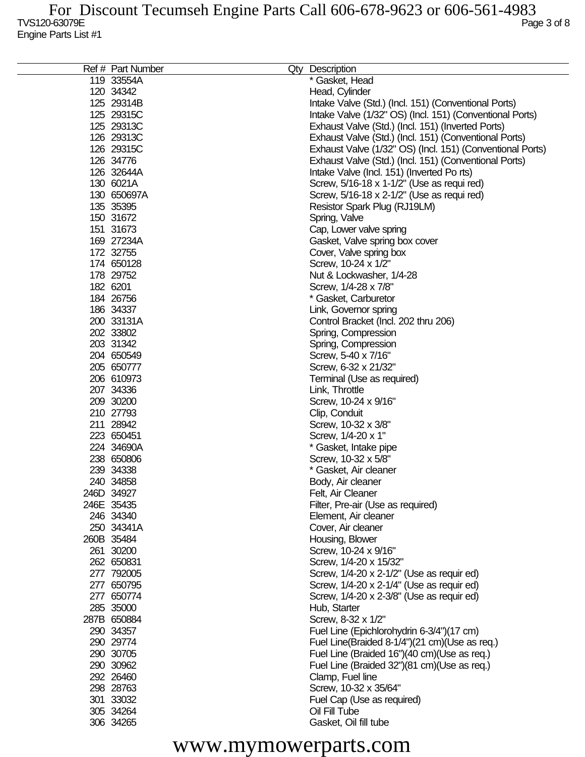| Ref # Part Number | Qty Description                                           |
|-------------------|-----------------------------------------------------------|
| 119 33554A        | * Gasket, Head                                            |
| 120 34342         | Head, Cylinder                                            |
| 125 29314B        | Intake Valve (Std.) (Incl. 151) (Conventional Ports)      |
| 125 29315C        | Intake Valve (1/32" OS) (Incl. 151) (Conventional Ports)  |
| 125 29313C        | Exhaust Valve (Std.) (Incl. 151) (Inverted Ports)         |
| 126 29313C        | Exhaust Valve (Std.) (Incl. 151) (Conventional Ports)     |
| 126 29315C        |                                                           |
| 126 34776         | Exhaust Valve (1/32" OS) (Incl. 151) (Conventional Ports) |
|                   | Exhaust Valve (Std.) (Incl. 151) (Conventional Ports)     |
| 126 32644A        | Intake Valve (Incl. 151) (Inverted Po rts)                |
| 130 6021A         | Screw, 5/16-18 x 1-1/2" (Use as requi red)                |
| 130 650697A       | Screw, 5/16-18 x 2-1/2" (Use as requi red)                |
| 135 35395         | Resistor Spark Plug (RJ19LM)                              |
| 150 31672         | Spring, Valve                                             |
| 151 31673         | Cap, Lower valve spring                                   |
| 169 27234A        | Gasket, Valve spring box cover                            |
| 172 32755         | Cover, Valve spring box                                   |
| 174 650128        | Screw, 10-24 x 1/2"                                       |
| 178 29752         | Nut & Lockwasher, 1/4-28                                  |
| 182 6201          | Screw, 1/4-28 x 7/8"                                      |
| 184 26756         | * Gasket, Carburetor                                      |
| 186 34337         | Link, Governor spring                                     |
| 200 33131A        | Control Bracket (Incl. 202 thru 206)                      |
| 202 33802         |                                                           |
|                   | Spring, Compression                                       |
| 203 31342         | Spring, Compression                                       |
| 204 650549        | Screw, 5-40 x 7/16"                                       |
| 205 650777        | Screw, 6-32 x 21/32"                                      |
| 206 610973        | Terminal (Use as required)                                |
| 207 34336         | Link, Throttle                                            |
| 209 30200         | Screw, 10-24 x 9/16"                                      |
| 210 27793         | Clip, Conduit                                             |
| 211 28942         | Screw, 10-32 x 3/8"                                       |
| 223 650451        | Screw, 1/4-20 x 1"                                        |
| 224 34690A        | * Gasket, Intake pipe                                     |
| 238 650806        | Screw, 10-32 x 5/8"                                       |
| 239 34338         | * Gasket, Air cleaner                                     |
| 240 34858         | Body, Air cleaner                                         |
| 246D 34927        | Felt, Air Cleaner                                         |
| 246E 35435        | Filter, Pre-air (Use as required)                         |
| 246 34340         | Element, Air cleaner                                      |
| 250 34341A        | Cover, Air cleaner                                        |
|                   |                                                           |
| 260B 35484        | Housing, Blower                                           |
| 261 30200         | Screw, 10-24 x 9/16"                                      |
| 262 650831        | Screw, 1/4-20 x 15/32"                                    |
| 277 792005        | Screw, 1/4-20 x 2-1/2" (Use as requir ed)                 |
| 277 650795        | Screw, 1/4-20 x 2-1/4" (Use as requir ed)                 |
| 277 650774        | Screw, 1/4-20 x 2-3/8" (Use as requir ed)                 |
| 285 35000         | Hub, Starter                                              |
| 287B 650884       | Screw, 8-32 x 1/2"                                        |
| 290 34357         | Fuel Line (Epichlorohydrin 6-3/4")(17 cm)                 |
| 290 29774         | Fuel Line(Braided 8-1/4")(21 cm)(Use as req.)             |
| 290 30705         | Fuel Line (Braided 16")(40 cm)(Use as req.)               |
| 290 30962         | Fuel Line (Braided 32")(81 cm)(Use as req.)               |
| 292 26460         | Clamp, Fuel line                                          |
| 298 28763         | Screw, 10-32 x 35/64"                                     |
| 301 33032         | Fuel Cap (Use as required)                                |
| 305 34264         | Oil Fill Tube                                             |
|                   |                                                           |
| 306 34265         | Gasket, Oil fill tube                                     |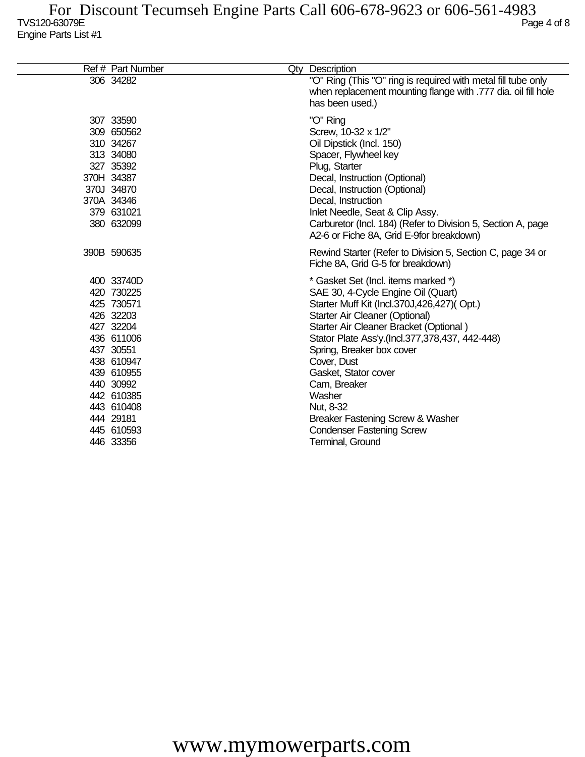| Ref # Part Number                                                                                                                                                                                        | Qty Description                                                                                                                                                                                                                                                                                                                                                                                                                                              |
|----------------------------------------------------------------------------------------------------------------------------------------------------------------------------------------------------------|--------------------------------------------------------------------------------------------------------------------------------------------------------------------------------------------------------------------------------------------------------------------------------------------------------------------------------------------------------------------------------------------------------------------------------------------------------------|
| 306 34282                                                                                                                                                                                                | "O" Ring (This "O" ring is required with metal fill tube only<br>when replacement mounting flange with .777 dia. oil fill hole<br>has been used.)                                                                                                                                                                                                                                                                                                            |
| 307 33590<br>309 650562<br>310 34267<br>313 34080<br>327 35392<br>370H 34387<br>370J 34870<br>370A 34346<br>379 631021<br>380 632099                                                                     | "O" Ring<br>Screw, 10-32 x 1/2"<br>Oil Dipstick (Incl. 150)<br>Spacer, Flywheel key<br>Plug, Starter<br>Decal, Instruction (Optional)<br>Decal, Instruction (Optional)<br>Decal, Instruction<br>Inlet Needle, Seat & Clip Assy.<br>Carburetor (Incl. 184) (Refer to Division 5, Section A, page<br>A2-6 or Fiche 8A, Grid E-9 for breakdown)                                                                                                                 |
| 390B 590635                                                                                                                                                                                              | Rewind Starter (Refer to Division 5, Section C, page 34 or<br>Fiche 8A, Grid G-5 for breakdown)                                                                                                                                                                                                                                                                                                                                                              |
| 400 33740D<br>420 730225<br>425 730571<br>426 32203<br>427 32204<br>436 611006<br>437 30551<br>438 610947<br>439 610955<br>440 30992<br>442 610385<br>443 610408<br>444 29181<br>445 610593<br>446 33356 | * Gasket Set (Incl. items marked *)<br>SAE 30, 4-Cycle Engine Oil (Quart)<br>Starter Muff Kit (Incl.370J,426,427)(Opt.)<br>Starter Air Cleaner (Optional)<br>Starter Air Cleaner Bracket (Optional)<br>Stator Plate Ass'y.(Incl.377,378,437, 442-448)<br>Spring, Breaker box cover<br>Cover, Dust<br>Gasket, Stator cover<br>Cam, Breaker<br>Washer<br>Nut, 8-32<br>Breaker Fastening Screw & Washer<br><b>Condenser Fastening Screw</b><br>Terminal, Ground |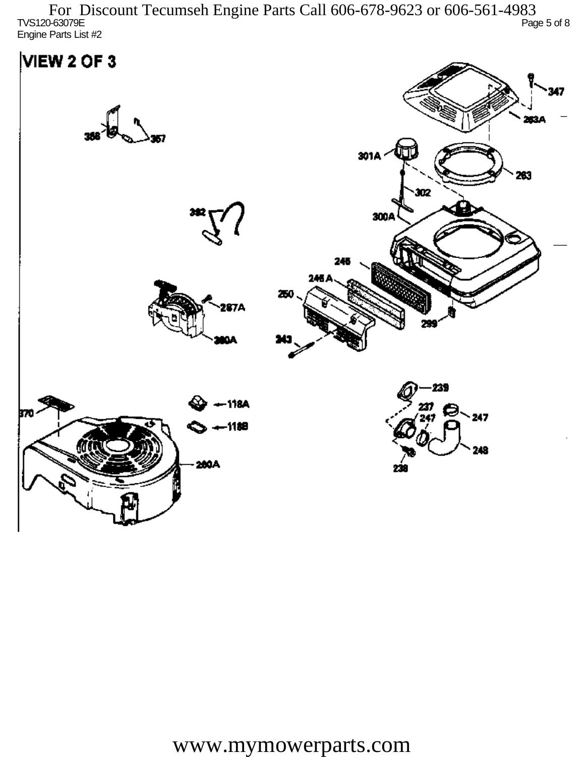TVS120-63079E Page 5 of 8 Engine Parts List #2 For Discount Tecumseh Engine Parts Call 606-678-9623 or 606-561-4983

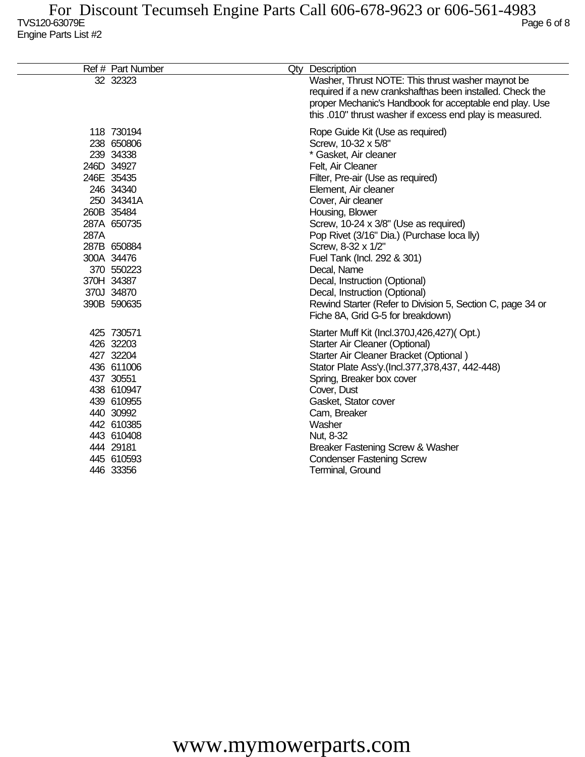|      | Ref # Part Number                                                                                                                                                                                               | Qty Description                                                                                                                                                                                                                                                                                                                                                                                                                                                                                                                             |
|------|-----------------------------------------------------------------------------------------------------------------------------------------------------------------------------------------------------------------|---------------------------------------------------------------------------------------------------------------------------------------------------------------------------------------------------------------------------------------------------------------------------------------------------------------------------------------------------------------------------------------------------------------------------------------------------------------------------------------------------------------------------------------------|
|      | 32 32323                                                                                                                                                                                                        | Washer, Thrust NOTE: This thrust washer maynot be<br>required if a new crankshafthas been installed. Check the<br>proper Mechanic's Handbook for acceptable end play. Use<br>this .010" thrust washer if excess end play is measured.                                                                                                                                                                                                                                                                                                       |
| 287A | 118 730194<br>238 650806<br>239 34338<br>246D 34927<br>246E 35435<br>246 34340<br>250 34341A<br>260B 35484<br>287A 650735<br>287B 650884<br>300A 34476<br>370 550223<br>370H 34387<br>370J 34870<br>390B 590635 | Rope Guide Kit (Use as required)<br>Screw, 10-32 x 5/8"<br>* Gasket, Air cleaner<br>Felt, Air Cleaner<br>Filter, Pre-air (Use as required)<br>Element, Air cleaner<br>Cover, Air cleaner<br>Housing, Blower<br>Screw, 10-24 x 3/8" (Use as required)<br>Pop Rivet (3/16" Dia.) (Purchase loca lly)<br>Screw, 8-32 x 1/2"<br>Fuel Tank (Incl. 292 & 301)<br>Decal, Name<br>Decal, Instruction (Optional)<br>Decal, Instruction (Optional)<br>Rewind Starter (Refer to Division 5, Section C, page 34 or<br>Fiche 8A, Grid G-5 for breakdown) |
|      | 425 730571<br>426 32203<br>427 32204<br>436 611006<br>437 30551<br>438 610947<br>439 610955<br>440 30992<br>442 610385<br>443 610408<br>444 29181<br>445 610593<br>446 33356                                    | Starter Muff Kit (Incl.370J,426,427)(Opt.)<br>Starter Air Cleaner (Optional)<br>Starter Air Cleaner Bracket (Optional)<br>Stator Plate Ass'y (Incl.377,378,437, 442-448)<br>Spring, Breaker box cover<br>Cover, Dust<br>Gasket, Stator cover<br>Cam, Breaker<br>Washer<br>Nut, 8-32<br>Breaker Fastening Screw & Washer<br><b>Condenser Fastening Screw</b><br>Terminal, Ground                                                                                                                                                             |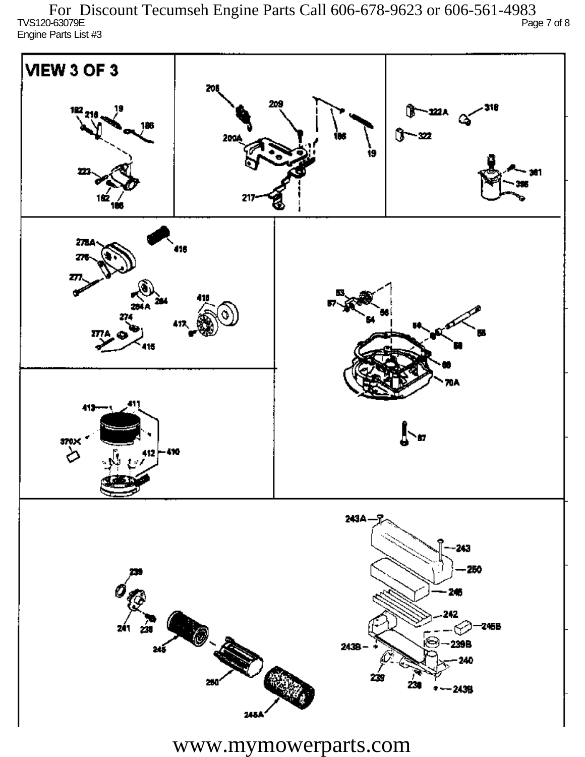TVS120-63079E Page 7 of 8 Engine Parts List #3 For Discount Tecumseh Engine Parts Call 606-678-9623 or 606-561-4983